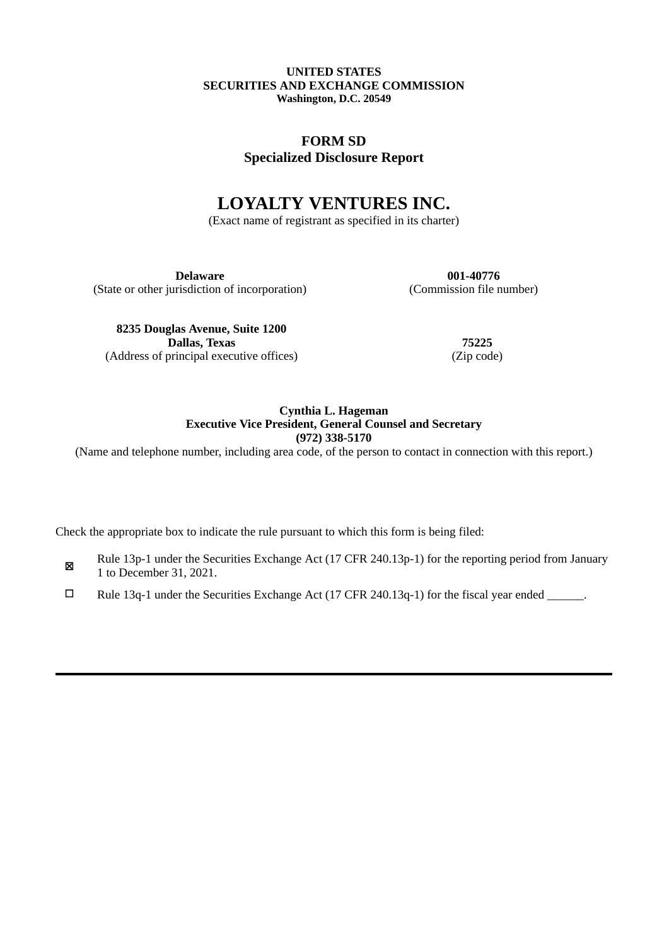#### **UNITED STATES SECURITIES AND EXCHANGE COMMISSION Washington, D.C. 20549**

# **FORM SD Specialized Disclosure Report**

# **LOYALTY VENTURES INC.**

(Exact name of registrant as specified in its charter)

**Delaware 001-40776** (State or other jurisdiction of incorporation) (Commission file number)

**8235 Douglas Avenue, Suite 1200 Dallas, Texas 75225** (Address of principal executive offices) (Zip code)

### **Cynthia L. Hageman Executive Vice President, General Counsel and Secretary (972) 338-5170**

(Name and telephone number, including area code, of the person to contact in connection with this report.)

Check the appropriate box to indicate the rule pursuant to which this form is being filed:

- ☒ Rule 13p-1 under the Securities Exchange Act (17 CFR 240.13p-1) for the reporting period from January 1 to December 31, 2021.
- ☐ Rule 13q-1 under the Securities Exchange Act (17 CFR 240.13q-1) for the fiscal year ended \_\_\_\_\_\_.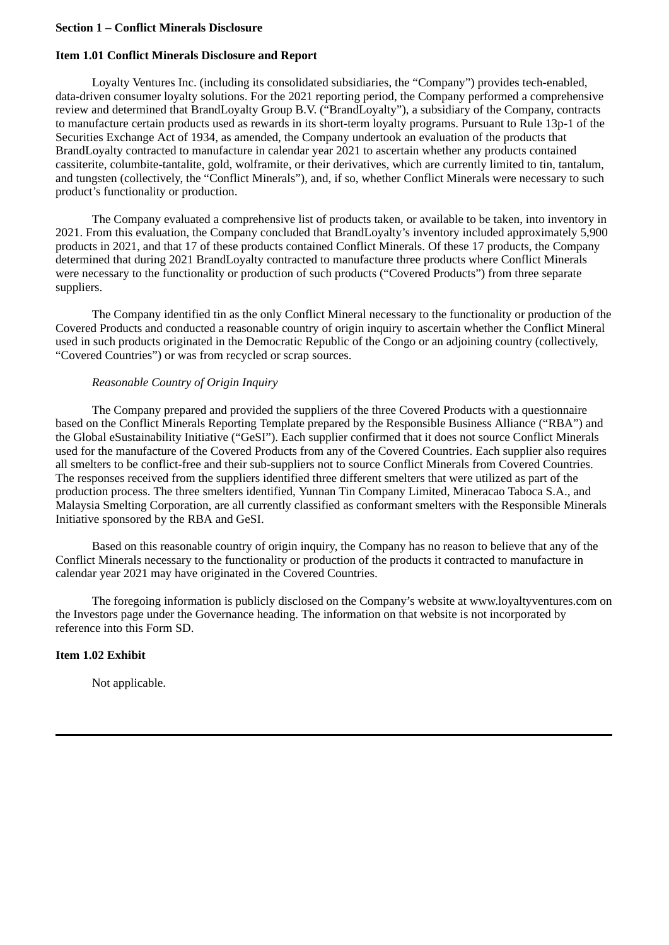#### **Section 1 – Conflict Minerals Disclosure**

### **Item 1.01 Conflict Minerals Disclosure and Report**

Loyalty Ventures Inc. (including its consolidated subsidiaries, the "Company") provides tech-enabled, data-driven consumer loyalty solutions. For the 2021 reporting period, the Company performed a comprehensive review and determined that BrandLoyalty Group B.V. ("BrandLoyalty"), a subsidiary of the Company, contracts to manufacture certain products used as rewards in its short-term loyalty programs. Pursuant to Rule 13p-1 of the Securities Exchange Act of 1934, as amended, the Company undertook an evaluation of the products that BrandLoyalty contracted to manufacture in calendar year 2021 to ascertain whether any products contained cassiterite, columbite-tantalite, gold, wolframite, or their derivatives, which are currently limited to tin, tantalum, and tungsten (collectively, the "Conflict Minerals"), and, if so, whether Conflict Minerals were necessary to such product's functionality or production.

The Company evaluated a comprehensive list of products taken, or available to be taken, into inventory in 2021. From this evaluation, the Company concluded that BrandLoyalty's inventory included approximately 5,900 products in 2021, and that 17 of these products contained Conflict Minerals. Of these 17 products, the Company determined that during 2021 BrandLoyalty contracted to manufacture three products where Conflict Minerals were necessary to the functionality or production of such products ("Covered Products") from three separate suppliers.

The Company identified tin as the only Conflict Mineral necessary to the functionality or production of the Covered Products and conducted a reasonable country of origin inquiry to ascertain whether the Conflict Mineral used in such products originated in the Democratic Republic of the Congo or an adjoining country (collectively, "Covered Countries") or was from recycled or scrap sources.

### *Reasonable Country of Origin Inquiry*

The Company prepared and provided the suppliers of the three Covered Products with a questionnaire based on the Conflict Minerals Reporting Template prepared by the Responsible Business Alliance ("RBA") and the Global eSustainability Initiative ("GeSI"). Each supplier confirmed that it does not source Conflict Minerals used for the manufacture of the Covered Products from any of the Covered Countries. Each supplier also requires all smelters to be conflict-free and their sub-suppliers not to source Conflict Minerals from Covered Countries. The responses received from the suppliers identified three different smelters that were utilized as part of the production process. The three smelters identified, Yunnan Tin Company Limited, Mineracao Taboca S.A., and Malaysia Smelting Corporation, are all currently classified as conformant smelters with the Responsible Minerals Initiative sponsored by the RBA and GeSI.

Based on this reasonable country of origin inquiry, the Company has no reason to believe that any of the Conflict Minerals necessary to the functionality or production of the products it contracted to manufacture in calendar year 2021 may have originated in the Covered Countries.

The foregoing information is publicly disclosed on the Company's website at www.loyaltyventures.com on the Investors page under the Governance heading. The information on that website is not incorporated by reference into this Form SD.

## **Item 1.02 Exhibit**

Not applicable.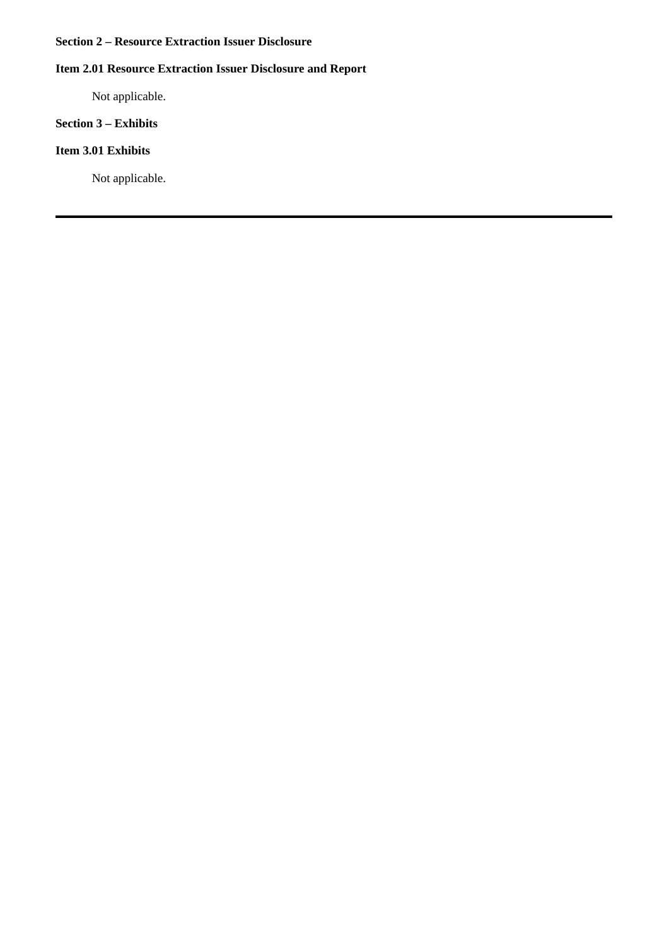### **Section 2 – Resource Extraction Issuer Disclosure**

# **Item 2.01 Resource Extraction Issuer Disclosure and Report**

Not applicable.

### **Section 3 – Exhibits**

### **Item 3.01 Exhibits**

Not applicable.